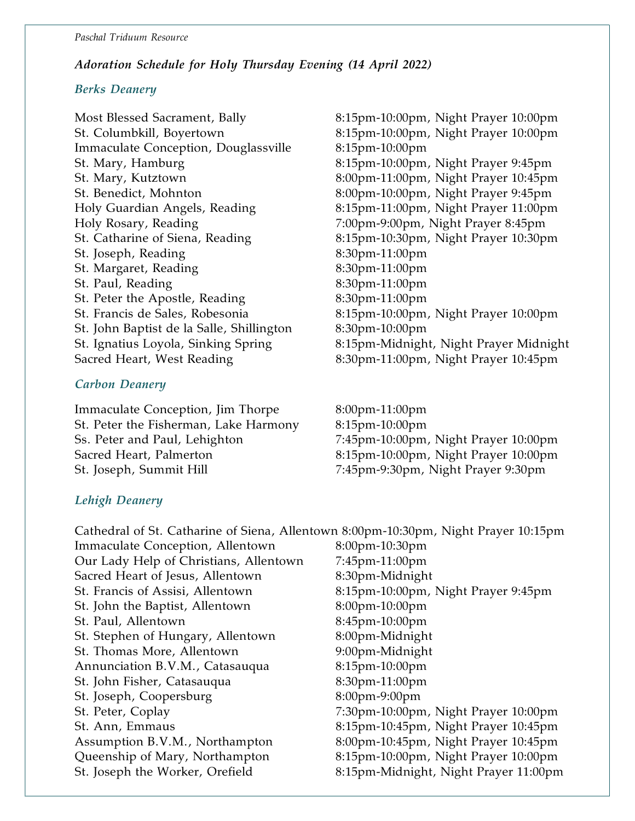#### Paschal Triduum Resource

# Adoration Schedule for Holy Thursday Evening (14 April 2022)

### Berks Deanery

 $\overline{a}$ 

Most Blessed Sacrament, Bally 8:15pm-10:00pm, Night Prayer 10:00pm St. Columbkill, Boyertown 8:15pm-10:00pm, Night Prayer 10:00pm Immaculate Conception, Douglassville 8:15pm-10:00pm St. Mary, Hamburg 8:15pm-10:00pm, Night Prayer 9:45pm St. Mary, Kutztown 8:00pm-11:00pm, Night Prayer 10:45pm St. Benedict, Mohnton 8:00pm-10:00pm, Night Prayer 9:45pm Holy Guardian Angels, Reading 8:15pm-11:00pm, Night Prayer 11:00pm Holy Rosary, Reading 7:00pm-9:00pm, Night Prayer 8:45pm St. Catharine of Siena, Reading 8:15pm-10:30pm, Night Prayer 10:30pm St. Joseph, Reading 8:30pm-11:00pm St. Margaret, Reading 8:30pm-11:00pm St. Paul, Reading 8:30pm-11:00pm St. Peter the Apostle, Reading 8:30pm-11:00pm St. Francis de Sales, Robesonia 8:15pm-10:00pm, Night Prayer 10:00pm St. John Baptist de la Salle, Shillington 8:30pm-10:00pm Sacred Heart, West Reading 8:30pm-11:00pm, Night Prayer 10:45pm

# Carbon Deanery

Immaculate Conception, Jim Thorpe 8:00pm-11:00pm St. Peter the Fisherman, Lake Harmony 8:15pm-10:00pm Ss. Peter and Paul, Lehighton 7:45pm-10:00pm, Night Prayer 10:00pm Sacred Heart, Palmerton 8:15pm-10:00pm, Night Prayer 10:00pm St. Joseph, Summit Hill 7:45pm-9:30pm, Night Prayer 9:30pm

St. Ignatius Loyola, Sinking Spring 8:15pm-Midnight, Night Prayer Midnight

# Lehigh Deanery

| Cathedral of St. Catharine of Siena, Allentown 8:00pm-10:30pm, Night Prayer 10:15pm |                                       |
|-------------------------------------------------------------------------------------|---------------------------------------|
| Immaculate Conception, Allentown                                                    | 8:00pm-10:30pm                        |
| Our Lady Help of Christians, Allentown                                              | 7:45pm-11:00pm                        |
| Sacred Heart of Jesus, Allentown                                                    | 8:30pm-Midnight                       |
| St. Francis of Assisi, Allentown                                                    | 8:15pm-10:00pm, Night Prayer 9:45pm   |
| St. John the Baptist, Allentown                                                     | 8:00pm-10:00pm                        |
| St. Paul, Allentown                                                                 | 8:45pm-10:00pm                        |
| St. Stephen of Hungary, Allentown                                                   | 8:00pm-Midnight                       |
| St. Thomas More, Allentown                                                          | 9:00pm-Midnight                       |
| Annunciation B.V.M., Catasauqua                                                     | 8:15pm-10:00pm                        |
| St. John Fisher, Catasauqua                                                         | 8:30pm-11:00pm                        |
| St. Joseph, Coopersburg                                                             | 8:00pm-9:00pm                         |
| St. Peter, Coplay                                                                   | 7:30pm-10:00pm, Night Prayer 10:00pm  |
| St. Ann, Emmaus                                                                     | 8:15pm-10:45pm, Night Prayer 10:45pm  |
| Assumption B.V.M., Northampton                                                      | 8:00pm-10:45pm, Night Prayer 10:45pm  |
| Queenship of Mary, Northampton                                                      | 8:15pm-10:00pm, Night Prayer 10:00pm  |
| St. Joseph the Worker, Orefield                                                     | 8:15pm-Midnight, Night Prayer 11:00pm |